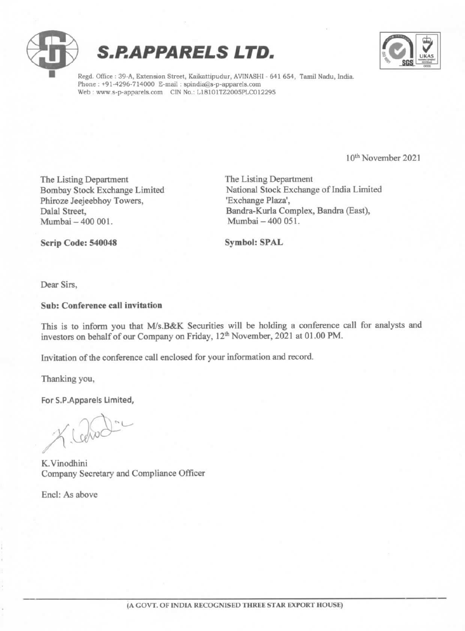



Regd. Office : 39-A, Extension Street, Kaikattipudur, AVINASHI - 641 654, Tamil Nadu, India. Phone : +91-4296-714000 E-mail : spindia@s-p-apparel Web: www.s-p-apparels.com CIN No.: L18101TZ2005PLC012295

10% November 2021

The Listing Department<br>
The Listing Department<br>
Rombay Stock Exchange Limited<br>
National Stock Exchange Phiroze Jeejeebhoy Towers,<br>Dalal Street,

National Stock Exchange of India Limited<br>'Exchange Plaza', Dalal Street, Bandra-Kurla Complex, Bandra (East),<br>Mumbai – 400 001. Mumbai – 400 051. Mumbai - 400 051.

Scrip Code: 540048 Symbol: SPAL

Dear Sirs,

#### Sub: Conference call invitation

This is to inform you that M/s.B&K Securities will be holding a conference call for analysts and investors on behalf of our Company on Friday, 12<sup>th</sup> November, 2021 at 01.00 PM.

Invitation of the conference call enclosed for your information and record.

Thanking you,

For S.P.Apparels Limited,

Leho

K.Vinodhini Company Secretary and Compliance Officer

Encl: As above